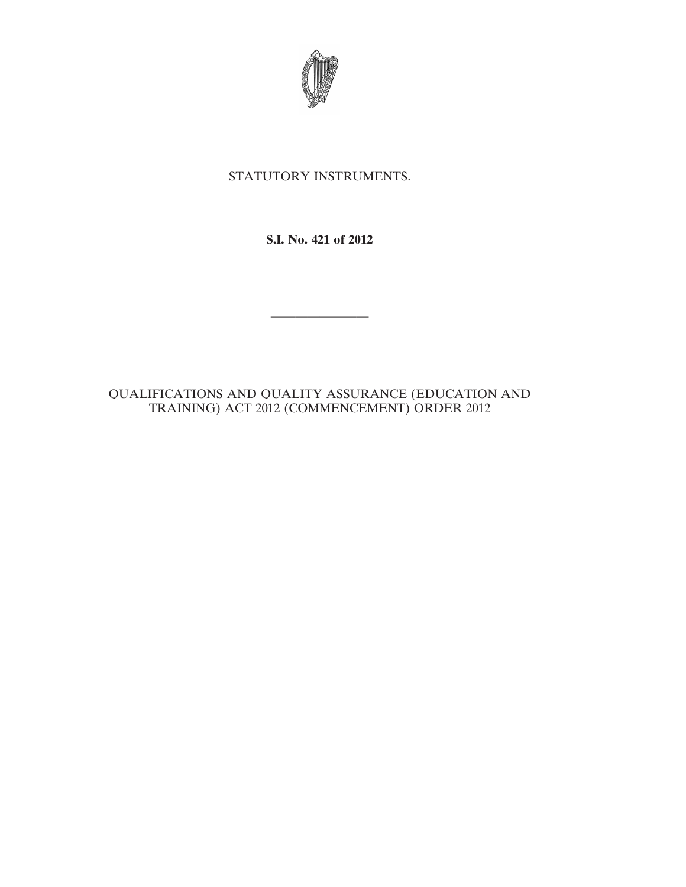

## STATUTORY INSTRUMENTS.

## **S.I. No. 421 of 2012**

————————

## QUALIFICATIONS AND QUALITY ASSURANCE (EDUCATION AND TRAINING) ACT 2012 (COMMENCEMENT) ORDER 2012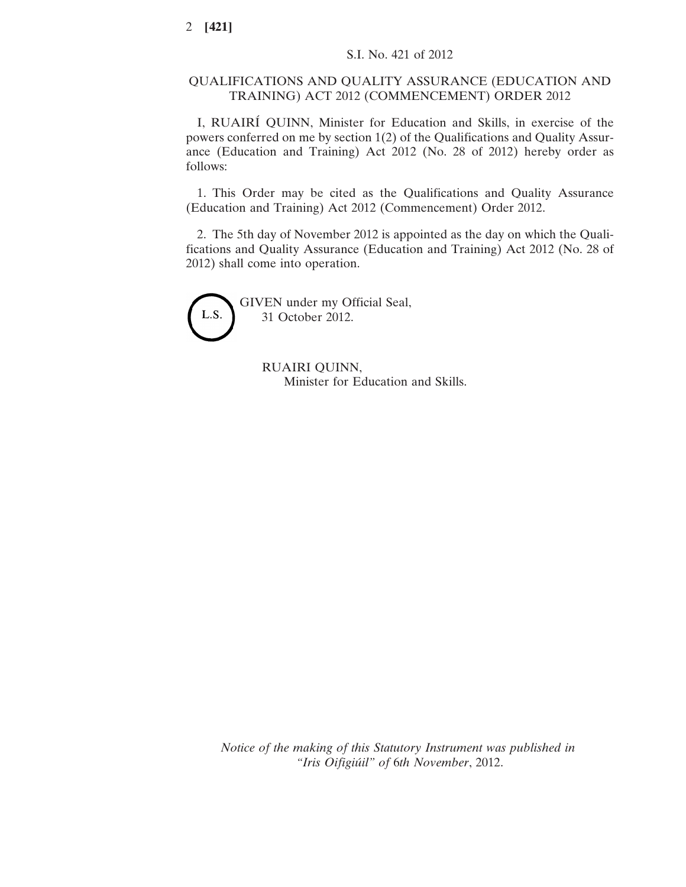## QUALIFICATIONS AND QUALITY ASSURANCE (EDUCATION AND TRAINING) ACT 2012 (COMMENCEMENT) ORDER 2012

I, RUAIRÍ QUINN, Minister for Education and Skills, in exercise of the powers conferred on me by section 1(2) of the Qualifications and Quality Assurance (Education and Training) Act 2012 (No. 28 of 2012) hereby order as follows:

1. This Order may be cited as the Qualifications and Quality Assurance (Education and Training) Act 2012 (Commencement) Order 2012.

2. The 5th day of November 2012 is appointed as the day on which the Qualifications and Quality Assurance (Education and Training) Act 2012 (No. 28 of 2012) shall come into operation.



GIVEN under my Official Seal, 31 October 2012.

> RUAIRI QUINN, Minister for Education and Skills.

*Notice of the making of this Statutory Instrument was published in "Iris Oifigiúil" of* 6*th November*, 2012.